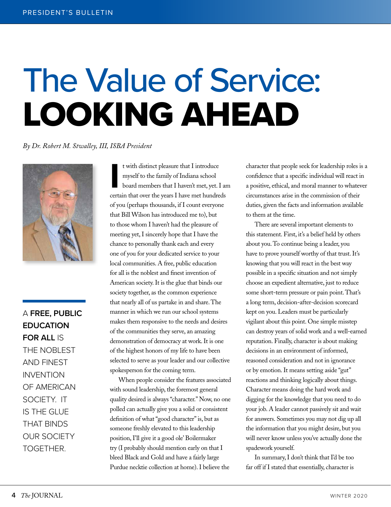# The Value of Service: LOOKING AHEAD

*By Dr. Robert M. Stwalley, III, ISBA President*



A **FREE, PUBLIC EDUCATION FOR ALL** IS THE NOBLEST AND FINEST INVENTION OF AMERICAN SOCIETY. IT IS THE GLUE THAT BINDS OUR SOCIETY TOGETHER.

It with distinct pleasure that I introduce<br>
myself to the family of Indiana school<br>
board members that I haven't met, yet. I ar<br>
certain that over the years I have met hundreds t with distinct pleasure that I introduce myself to the family of Indiana school board members that I haven't met, yet. I am of you (perhaps thousands, if I count everyone that Bill Wilson has introduced me to), but to those whom I haven't had the pleasure of meeting yet, I sincerely hope that I have the chance to personally thank each and every one of you for your dedicated service to your local communities. A free, public education for all is the noblest and finest invention of American society. It is the glue that binds our society together, as the common experience that nearly all of us partake in and share. The manner in which we run our school systems makes them responsive to the needs and desires of the communities they serve, an amazing demonstration of democracy at work. It is one of the highest honors of my life to have been selected to serve as your leader and our collective spokesperson for the coming term.

When people consider the features associated with sound leadership, the foremost general quality desired is always "character." Now, no one polled can actually give you a solid or consistent definition of what "good character" is, but as someone freshly elevated to this leadership position, I'll give it a good ole' Boilermaker try (I probably should mention early on that I bleed Black and Gold and have a fairly large Purdue necktie collection at home). I believe the

character that people seek for leadership roles is a confidence that a specific individual will react in a positive, ethical, and moral manner to whatever circumstances arise in the commission of their duties, given the facts and information available to them at the time.

There are several important elements to this statement. First, it's a belief held by others about you. To continue being a leader, you have to prove yourself worthy of that trust. It's knowing that you will react in the best way possible in a specific situation and not simply choose an expedient alternative, just to reduce some short-term pressure or pain point. That's a long term, decision-after-decision scorecard kept on you. Leaders must be particularly vigilant about this point. One simple misstep can destroy years of solid work and a well-earned reputation. Finally, character is about making decisions in an environment of informed, reasoned consideration and not in ignorance or by emotion. It means setting aside "gut" reactions and thinking logically about things. Character means doing the hard work and digging for the knowledge that you need to do your job. A leader cannot passively sit and wait for answers. Sometimes you may not dig up all the information that you might desire, but you will never know unless you've actually done the spadework yourself.

In summary, I don't think that I'd be too far off if I stated that essentially, character is